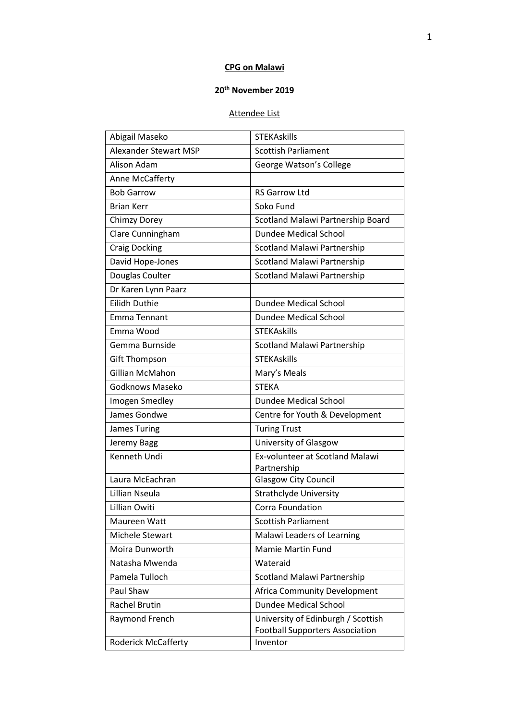# **CPG on Malawi**

## **20th November 2019**

## Attendee List

| Abigail Maseko               | <b>STEKAskills</b>                                                           |
|------------------------------|------------------------------------------------------------------------------|
| <b>Alexander Stewart MSP</b> | <b>Scottish Parliament</b>                                                   |
| Alison Adam                  | George Watson's College                                                      |
| Anne McCafferty              |                                                                              |
| <b>Bob Garrow</b>            | <b>RS Garrow Ltd</b>                                                         |
| <b>Brian Kerr</b>            | Soko Fund                                                                    |
| Chimzy Dorey                 | Scotland Malawi Partnership Board                                            |
| Clare Cunningham             | <b>Dundee Medical School</b>                                                 |
| <b>Craig Docking</b>         | Scotland Malawi Partnership                                                  |
| David Hope-Jones             | Scotland Malawi Partnership                                                  |
| Douglas Coulter              | Scotland Malawi Partnership                                                  |
| Dr Karen Lynn Paarz          |                                                                              |
| <b>Eilidh Duthie</b>         | Dundee Medical School                                                        |
| <b>Emma Tennant</b>          | Dundee Medical School                                                        |
| Emma Wood                    | <b>STEKAskills</b>                                                           |
| Gemma Burnside               | Scotland Malawi Partnership                                                  |
| <b>Gift Thompson</b>         | <b>STEKAskills</b>                                                           |
| Gillian McMahon              | Mary's Meals                                                                 |
| Godknows Maseko              | <b>STEKA</b>                                                                 |
| Imogen Smedley               | <b>Dundee Medical School</b>                                                 |
| James Gondwe                 | Centre for Youth & Development                                               |
| <b>James Turing</b>          | <b>Turing Trust</b>                                                          |
| Jeremy Bagg                  | University of Glasgow                                                        |
| Kenneth Undi                 | Ex-volunteer at Scotland Malawi<br>Partnership                               |
| Laura McEachran              | <b>Glasgow City Council</b>                                                  |
| Lillian Nseula               | <b>Strathclyde University</b>                                                |
| Lillian Owiti                | Corra Foundation                                                             |
| Maureen Watt                 | <b>Scottish Parliament</b>                                                   |
| Michele Stewart              | Malawi Leaders of Learning                                                   |
| Moira Dunworth               | <b>Mamie Martin Fund</b>                                                     |
| Natasha Mwenda               | Wateraid                                                                     |
| Pamela Tulloch               | <b>Scotland Malawi Partnership</b>                                           |
| Paul Shaw                    | Africa Community Development                                                 |
| <b>Rachel Brutin</b>         | <b>Dundee Medical School</b>                                                 |
| Raymond French               | University of Edinburgh / Scottish<br><b>Football Supporters Association</b> |
| <b>Roderick McCafferty</b>   | Inventor                                                                     |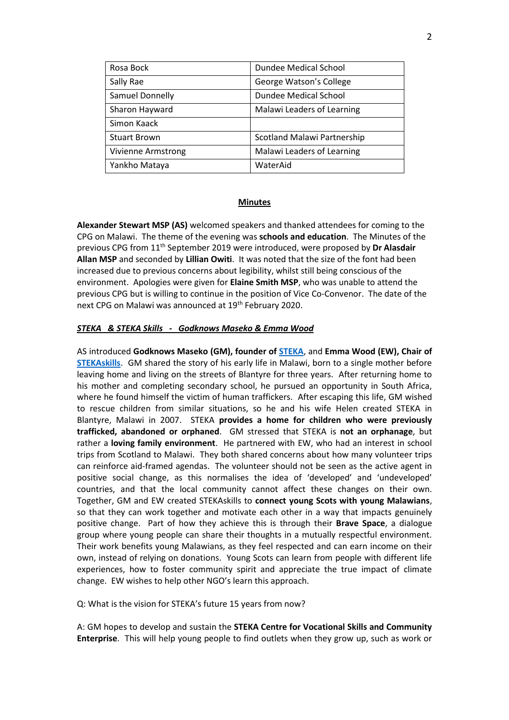| Rosa Bock                 | Dundee Medical School              |
|---------------------------|------------------------------------|
| Sally Rae                 | George Watson's College            |
| Samuel Donnelly           | Dundee Medical School              |
| Sharon Hayward            | Malawi Leaders of Learning         |
| Simon Kaack               |                                    |
| <b>Stuart Brown</b>       | <b>Scotland Malawi Partnership</b> |
| <b>Vivienne Armstrong</b> | Malawi Leaders of Learning         |
| Yankho Mataya             | WaterAid                           |

#### **Minutes**

**Alexander Stewart MSP (AS)** welcomed speakers and thanked attendees for coming to the CPG on Malawi. The theme of the evening was **schools and education**. The Minutes of the previous CPG from 11th September 2019 were introduced, were proposed by **Dr Alasdair Allan MSP** and seconded by **Lillian Owiti**. It was noted that the size of the font had been increased due to previous concerns about legibility, whilst still being conscious of the environment. Apologies were given for **Elaine Smith MSP**, who was unable to attend the previous CPG but is willing to continue in the position of Vice Co-Convenor. The date of the next CPG on Malawi was announced at 19<sup>th</sup> February 2020.

#### *STEKA & STEKA Skills - Godknows Maseko & Emma Wood*

AS introduced **Godknows Maseko (GM), founder of [STEKA](https://stekakids.com/)**, and **Emma Wood (EW), Chair of [STEKAskills](https://www.stekaskills.com/)**. GM shared the story of his early life in Malawi, born to a single mother before leaving home and living on the streets of Blantyre for three years. After returning home to his mother and completing secondary school, he pursued an opportunity in South Africa, where he found himself the victim of human traffickers. After escaping this life, GM wished to rescue children from similar situations, so he and his wife Helen created STEKA in Blantyre, Malawi in 2007. STEKA **provides a home for children who were previously trafficked, abandoned or orphaned**. GM stressed that STEKA is **not an orphanage**, but rather a **loving family environment**. He partnered with EW, who had an interest in school trips from Scotland to Malawi. They both shared concerns about how many volunteer trips can reinforce aid-framed agendas. The volunteer should not be seen as the active agent in positive social change, as this normalises the idea of 'developed' and 'undeveloped' countries, and that the local community cannot affect these changes on their own. Together, GM and EW created STEKAskills to **connect young Scots with young Malawians**, so that they can work together and motivate each other in a way that impacts genuinely positive change. Part of how they achieve this is through their **Brave Space**, a dialogue group where young people can share their thoughts in a mutually respectful environment. Their work benefits young Malawians, as they feel respected and can earn income on their own, instead of relying on donations. Young Scots can learn from people with different life experiences, how to foster community spirit and appreciate the true impact of climate change. EW wishes to help other NGO's learn this approach.

Q: What is the vision for STEKA's future 15 years from now?

A: GM hopes to develop and sustain the **STEKA Centre for Vocational Skills and Community Enterprise**. This will help young people to find outlets when they grow up, such as work or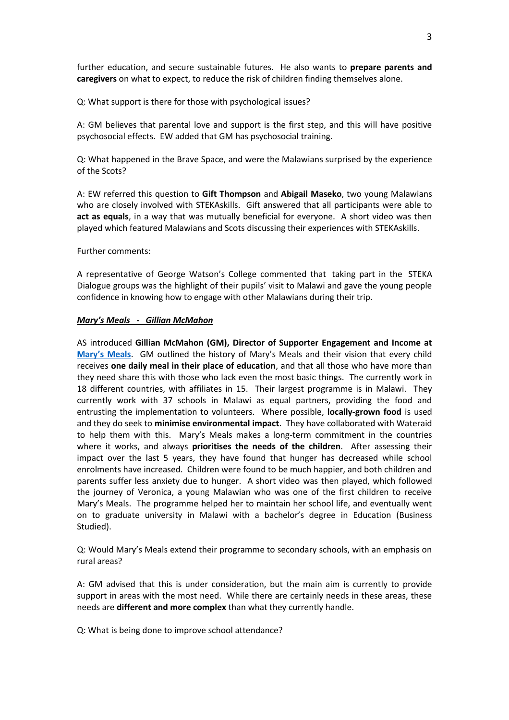further education, and secure sustainable futures. He also wants to **prepare parents and caregivers** on what to expect, to reduce the risk of children finding themselves alone.

Q: What support is there for those with psychological issues?

A: GM believes that parental love and support is the first step, and this will have positive psychosocial effects. EW added that GM has psychosocial training.

Q: What happened in the Brave Space, and were the Malawians surprised by the experience of the Scots?

A: EW referred this question to **Gift Thompson** and **Abigail Maseko**, two young Malawians who are closely involved with STEKAskills. Gift answered that all participants were able to **act as equals**, in a way that was mutually beneficial for everyone. A short video was then played which featured Malawians and Scots discussing their experiences with STEKAskills.

#### Further comments:

A representative of George Watson's College commented that taking part in the STEKA Dialogue groups was the highlight of their pupils' visit to Malawi and gave the young people confidence in knowing how to engage with other Malawians during their trip.

#### *Mary's Meals - Gillian McMahon*

AS introduced **Gillian McMahon (GM), Director of Supporter Engagement and Income at [Mary's Meals](https://www.marysmeals.org.uk/)**. GM outlined the history of Mary's Meals and their vision that every child receives **one daily meal in their place of education**, and that all those who have more than they need share this with those who lack even the most basic things. The currently work in 18 different countries, with affiliates in 15. Their largest programme is in Malawi. They currently work with 37 schools in Malawi as equal partners, providing the food and entrusting the implementation to volunteers. Where possible, **locally-grown food** is used and they do seek to **minimise environmental impact**. They have collaborated with Wateraid to help them with this. Mary's Meals makes a long-term commitment in the countries where it works, and always **prioritises the needs of the children**. After assessing their impact over the last 5 years, they have found that hunger has decreased while school enrolments have increased. Children were found to be much happier, and both children and parents suffer less anxiety due to hunger. A short video was then played, which followed the journey of Veronica, a young Malawian who was one of the first children to receive Mary's Meals. The programme helped her to maintain her school life, and eventually went on to graduate university in Malawi with a bachelor's degree in Education (Business Studied).

Q: Would Mary's Meals extend their programme to secondary schools, with an emphasis on rural areas?

A: GM advised that this is under consideration, but the main aim is currently to provide support in areas with the most need. While there are certainly needs in these areas, these needs are **different and more complex** than what they currently handle.

Q: What is being done to improve school attendance?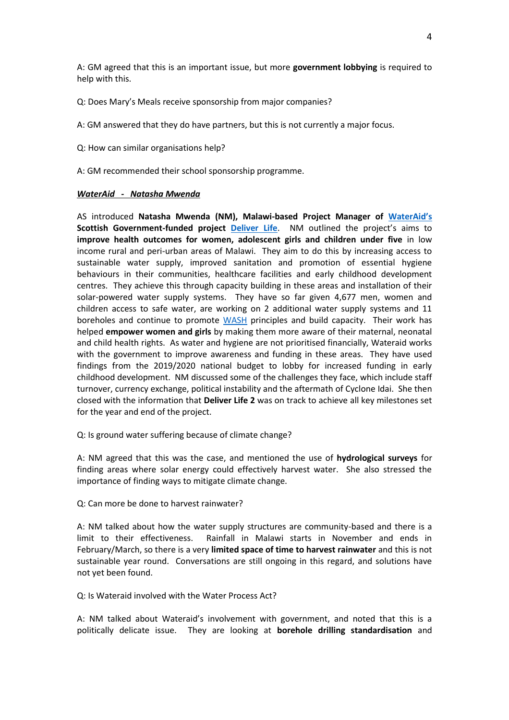A: GM agreed that this is an important issue, but more **government lobbying** is required to help with this.

Q: Does Mary's Meals receive sponsorship from major companies?

A: GM answered that they do have partners, but this is not currently a major focus.

Q: How can similar organisations help?

A: GM recommended their school sponsorship programme.

### *WaterAid - Natasha Mwenda*

AS introduced **Natasha Mwenda (NM), Malawi-based Project Manager of [WaterAid's](https://www.wateraid.org/uk/) Scottish Government-funded project [Deliver Life](https://washmatters.wateraid.org/blog/no-longer-business-as-usual-deliver-life-project)**. NM outlined the project's aims to **improve health outcomes for women, adolescent girls and children under five** in low income rural and peri-urban areas of Malawi. They aim to do this by increasing access to sustainable water supply, improved sanitation and promotion of essential hygiene behaviours in their communities, healthcare facilities and early childhood development centres. They achieve this through capacity building in these areas and installation of their solar-powered water supply systems. They have so far given 4,677 men, women and children access to safe water, are working on 2 additional water supply systems and 11 boreholes and continue to promote [WASH](https://washmatters.wateraid.org/) principles and build capacity. Their work has helped **empower women and girls** by making them more aware of their maternal, neonatal and child health rights. As water and hygiene are not prioritised financially, Wateraid works with the government to improve awareness and funding in these areas. They have used findings from the 2019/2020 national budget to lobby for increased funding in early childhood development. NM discussed some of the challenges they face, which include staff turnover, currency exchange, political instability and the aftermath of Cyclone Idai. She then closed with the information that **Deliver Life 2** was on track to achieve all key milestones set for the year and end of the project.

Q: Is ground water suffering because of climate change?

A: NM agreed that this was the case, and mentioned the use of **hydrological surveys** for finding areas where solar energy could effectively harvest water. She also stressed the importance of finding ways to mitigate climate change.

Q: Can more be done to harvest rainwater?

A: NM talked about how the water supply structures are community-based and there is a limit to their effectiveness. Rainfall in Malawi starts in November and ends in February/March, so there is a very **limited space of time to harvest rainwater** and this is not sustainable year round. Conversations are still ongoing in this regard, and solutions have not yet been found.

Q: Is Wateraid involved with the Water Process Act?

A: NM talked about Wateraid's involvement with government, and noted that this is a politically delicate issue. They are looking at **borehole drilling standardisation** and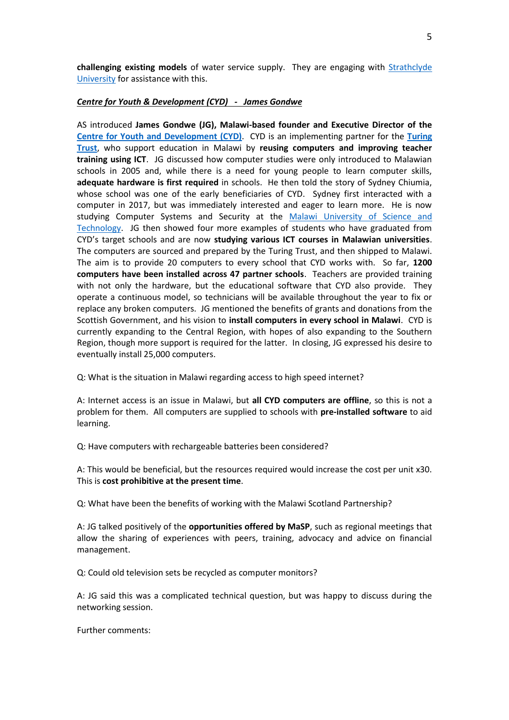**challenging existing models** of water service supply. They are engaging with **Strathclyde** [University](https://www.strath.ac.uk/) for assistance with this.

### *Centre for Youth & Development (CYD) - James Gondwe*

AS introduced **James Gondwe (JG), Malawi-based founder and Executive Director of the [Centre for Youth and Development](http://www.cydmalawi.org/) (CYD)**. CYD is an implementing partner for the **[Turing](https://turingtrust.co.uk/)  [Trust](https://turingtrust.co.uk/)**, who support education in Malawi by **reusing computers and improving teacher training using ICT**. JG discussed how computer studies were only introduced to Malawian schools in 2005 and, while there is a need for young people to learn computer skills, **adequate hardware is first required** in schools. He then told the story of Sydney Chiumia, whose school was one of the early beneficiaries of CYD. Sydney first interacted with a computer in 2017, but was immediately interested and eager to learn more. He is now studying Computer Systems and Security at the [Malawi University of Science and](https://www.must.ac.mw/)  [Technology.](https://www.must.ac.mw/) JG then showed four more examples of students who have graduated from CYD's target schools and are now **studying various ICT courses in Malawian universities**. The computers are sourced and prepared by the Turing Trust, and then shipped to Malawi. The aim is to provide 20 computers to every school that CYD works with. So far, **1200 computers have been installed across 47 partner schools**. Teachers are provided training with not only the hardware, but the educational software that CYD also provide. They operate a continuous model, so technicians will be available throughout the year to fix or replace any broken computers. JG mentioned the benefits of grants and donations from the Scottish Government, and his vision to **install computers in every school in Malawi**. CYD is currently expanding to the Central Region, with hopes of also expanding to the Southern Region, though more support is required for the latter. In closing, JG expressed his desire to eventually install 25,000 computers.

Q: What is the situation in Malawi regarding access to high speed internet?

A: Internet access is an issue in Malawi, but **all CYD computers are offline**, so this is not a problem for them. All computers are supplied to schools with **pre-installed software** to aid learning.

Q: Have computers with rechargeable batteries been considered?

A: This would be beneficial, but the resources required would increase the cost per unit x30. This is **cost prohibitive at the present time**.

Q: What have been the benefits of working with the Malawi Scotland Partnership?

A: JG talked positively of the **opportunities offered by MaSP**, such as regional meetings that allow the sharing of experiences with peers, training, advocacy and advice on financial management.

Q: Could old television sets be recycled as computer monitors?

A: JG said this was a complicated technical question, but was happy to discuss during the networking session.

Further comments: